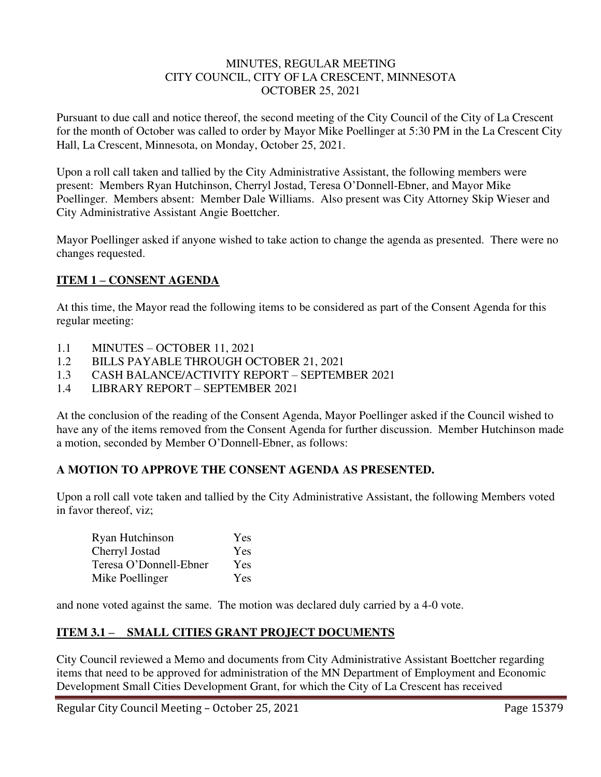#### MINUTES, REGULAR MEETING CITY COUNCIL, CITY OF LA CRESCENT, MINNESOTA OCTOBER 25, 2021

Pursuant to due call and notice thereof, the second meeting of the City Council of the City of La Crescent for the month of October was called to order by Mayor Mike Poellinger at 5:30 PM in the La Crescent City Hall, La Crescent, Minnesota, on Monday, October 25, 2021.

Upon a roll call taken and tallied by the City Administrative Assistant, the following members were present: Members Ryan Hutchinson, Cherryl Jostad, Teresa O'Donnell-Ebner, and Mayor Mike Poellinger. Members absent: Member Dale Williams. Also present was City Attorney Skip Wieser and City Administrative Assistant Angie Boettcher.

Mayor Poellinger asked if anyone wished to take action to change the agenda as presented. There were no changes requested.

# **ITEM 1 – CONSENT AGENDA**

At this time, the Mayor read the following items to be considered as part of the Consent Agenda for this regular meeting:

- 1.1 MINUTES OCTOBER 11, 2021
- 1.2 BILLS PAYABLE THROUGH OCTOBER 21, 2021
- 1.3 CASH BALANCE/ACTIVITY REPORT SEPTEMBER 2021
- 1.4 LIBRARY REPORT SEPTEMBER 2021

At the conclusion of the reading of the Consent Agenda, Mayor Poellinger asked if the Council wished to have any of the items removed from the Consent Agenda for further discussion. Member Hutchinson made a motion, seconded by Member O'Donnell-Ebner, as follows:

### **A MOTION TO APPROVE THE CONSENT AGENDA AS PRESENTED.**

Upon a roll call vote taken and tallied by the City Administrative Assistant, the following Members voted in favor thereof, viz;

| Ryan Hutchinson        | <b>Yes</b> |
|------------------------|------------|
| Cherryl Jostad         | Yes        |
| Teresa O'Donnell-Ebner | Yes        |
| Mike Poellinger        | Yes        |

and none voted against the same. The motion was declared duly carried by a 4-0 vote.

### **ITEM 3.1 – SMALL CITIES GRANT PROJECT DOCUMENTS**

City Council reviewed a Memo and documents from City Administrative Assistant Boettcher regarding items that need to be approved for administration of the MN Department of Employment and Economic Development Small Cities Development Grant, for which the City of La Crescent has received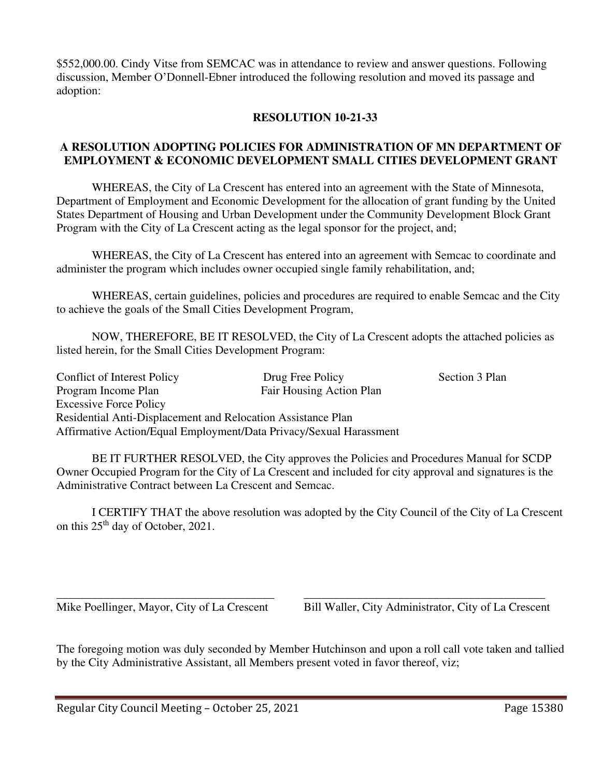\$552,000.00. Cindy Vitse from SEMCAC was in attendance to review and answer questions. Following discussion, Member O'Donnell-Ebner introduced the following resolution and moved its passage and adoption:

## **RESOLUTION 10-21-33**

### **A RESOLUTION ADOPTING POLICIES FOR ADMINISTRATION OF MN DEPARTMENT OF EMPLOYMENT & ECONOMIC DEVELOPMENT SMALL CITIES DEVELOPMENT GRANT**

WHEREAS, the City of La Crescent has entered into an agreement with the State of Minnesota, Department of Employment and Economic Development for the allocation of grant funding by the United States Department of Housing and Urban Development under the Community Development Block Grant Program with the City of La Crescent acting as the legal sponsor for the project, and;

WHEREAS, the City of La Crescent has entered into an agreement with Semcac to coordinate and administer the program which includes owner occupied single family rehabilitation, and;

WHEREAS, certain guidelines, policies and procedures are required to enable Semcac and the City to achieve the goals of the Small Cities Development Program,

NOW, THEREFORE, BE IT RESOLVED, the City of La Crescent adopts the attached policies as listed herein, for the Small Cities Development Program:

Conflict of Interest Policy Drug Free Policy Section 3 Plan Program Income Plan Fair Housing Action Plan Excessive Force Policy Residential Anti-Displacement and Relocation Assistance Plan Affirmative Action/Equal Employment/Data Privacy/Sexual Harassment

BE IT FURTHER RESOLVED, the City approves the Policies and Procedures Manual for SCDP Owner Occupied Program for the City of La Crescent and included for city approval and signatures is the Administrative Contract between La Crescent and Semcac.

I CERTIFY THAT the above resolution was adopted by the City Council of the City of La Crescent on this  $25<sup>th</sup>$  day of October, 2021.

\_\_\_\_\_\_\_\_\_\_\_\_\_\_\_\_\_\_\_\_\_\_\_\_\_\_\_\_\_\_\_\_\_\_\_\_\_ \_\_\_\_\_\_\_\_\_\_\_\_\_\_\_\_\_\_\_\_\_\_\_\_\_\_\_\_\_\_\_\_\_\_\_\_\_\_\_\_\_ Mike Poellinger, Mayor, City of La Crescent Bill Waller, City Administrator, City of La Crescent

The foregoing motion was duly seconded by Member Hutchinson and upon a roll call vote taken and tallied by the City Administrative Assistant, all Members present voted in favor thereof, viz;

Regular City Council Meeting – October 25, 2021 Page 15380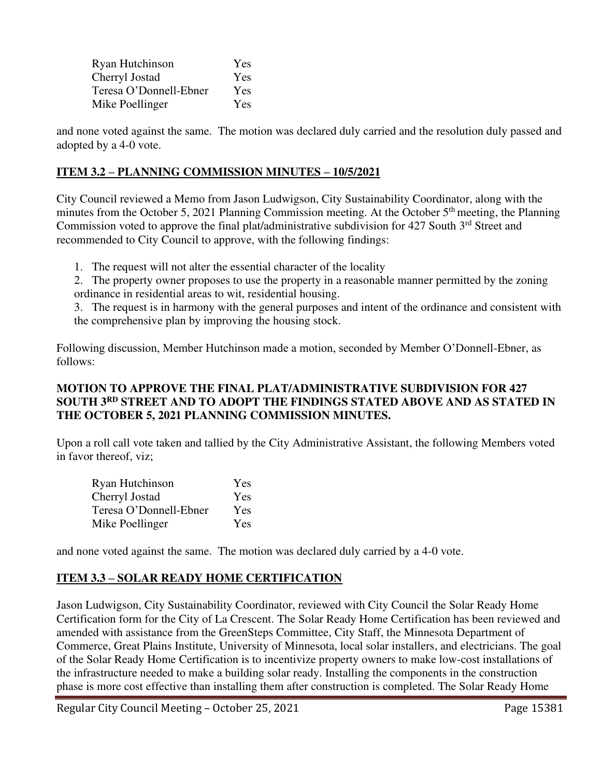| Ryan Hutchinson        | Yes |
|------------------------|-----|
| Cherryl Jostad         | Yes |
| Teresa O'Donnell-Ebner | Yes |
| Mike Poellinger        | Yes |

and none voted against the same. The motion was declared duly carried and the resolution duly passed and adopted by a 4-0 vote.

## **ITEM 3.2 – PLANNING COMMISSION MINUTES – 10/5/2021**

City Council reviewed a Memo from Jason Ludwigson, City Sustainability Coordinator, along with the minutes from the October 5, 2021 Planning Commission meeting. At the October 5<sup>th</sup> meeting, the Planning Commission voted to approve the final plat/administrative subdivision for 427 South 3rd Street and recommended to City Council to approve, with the following findings:

- 1. The request will not alter the essential character of the locality
- 2. The property owner proposes to use the property in a reasonable manner permitted by the zoning ordinance in residential areas to wit, residential housing.

3. The request is in harmony with the general purposes and intent of the ordinance and consistent with the comprehensive plan by improving the housing stock.

Following discussion, Member Hutchinson made a motion, seconded by Member O'Donnell-Ebner, as follows:

# **MOTION TO APPROVE THE FINAL PLAT/ADMINISTRATIVE SUBDIVISION FOR 427 SOUTH 3RD STREET AND TO ADOPT THE FINDINGS STATED ABOVE AND AS STATED IN THE OCTOBER 5, 2021 PLANNING COMMISSION MINUTES.**

Upon a roll call vote taken and tallied by the City Administrative Assistant, the following Members voted in favor thereof, viz;

| Ryan Hutchinson        | Yes |
|------------------------|-----|
| Cherryl Jostad         | Yes |
| Teresa O'Donnell-Ebner | Yes |
| Mike Poellinger        | Yes |

and none voted against the same. The motion was declared duly carried by a 4-0 vote.

# **ITEM 3.3 – SOLAR READY HOME CERTIFICATION**

Jason Ludwigson, City Sustainability Coordinator, reviewed with City Council the Solar Ready Home Certification form for the City of La Crescent. The Solar Ready Home Certification has been reviewed and amended with assistance from the GreenSteps Committee, City Staff, the Minnesota Department of Commerce, Great Plains Institute, University of Minnesota, local solar installers, and electricians. The goal of the Solar Ready Home Certification is to incentivize property owners to make low-cost installations of the infrastructure needed to make a building solar ready. Installing the components in the construction phase is more cost effective than installing them after construction is completed. The Solar Ready Home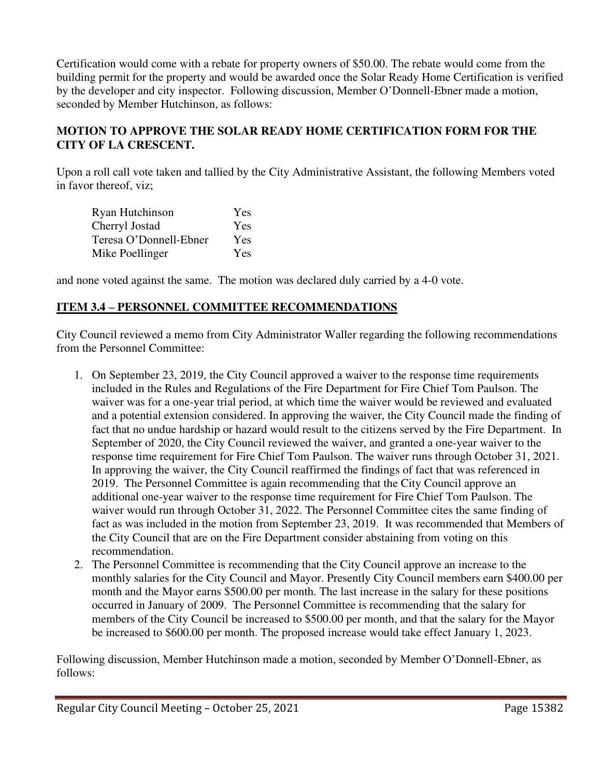Certification would come with a rebate for property owners of \$50.00. The rebate would come from the building permit for the property and would be awarded once the Solar Ready Home Certification is verified by the developer and city inspector. Following discussion, Member O'Donnell-Ebner made a motion, seconded by Member Hutchinson, as follows:

# **MOTION TO APPROVE THE SOLAR READY HOME CERTIFICATION FORM FOR THE CITY OF LA CRESCENT.**

Upon a roll call vote taken and tallied by the City Administrative Assistant, the following Members voted in favor thereof, viz;

| Ryan Hutchinson        | Yes |
|------------------------|-----|
| Cherryl Jostad         | Yes |
| Teresa O'Donnell-Ebner | Yes |
| Mike Poellinger        | Yes |

and none voted against the same. The motion was declared duly carried by a 4-0 vote.

### **ITEM 3.4 – PERSONNEL COMMITTEE RECOMMENDATIONS**

City Council reviewed a memo from City Administrator Waller regarding the following recommendations from the Personnel Committee:

- 1. On September 23, 2019, the City Council approved a waiver to the response time requirements included in the Rules and Regulations of the Fire Department for Fire Chief Tom Paulson. The waiver was for a one-year trial period, at which time the waiver would be reviewed and evaluated and a potential extension considered. In approving the waiver, the City Council made the finding of fact that no undue hardship or hazard would result to the citizens served by the Fire Department. In September of 2020, the City Council reviewed the waiver, and granted a one-year waiver to the response time requirement for Fire Chief Tom Paulson. The waiver runs through October 31, 2021. In approving the waiver, the City Council reaffirmed the findings of fact that was referenced in 2019. The Personnel Committee is again recommending that the City Council approve an additional one-year waiver to the response time requirement for Fire Chief Tom Paulson. The waiver would run through October 31, 2022. The Personnel Committee cites the same finding of fact as was included in the motion from September 23, 2019. It was recommended that Members of the City Council that are on the Fire Department consider abstaining from voting on this recommendation.
- 2. The Personnel Committee is recommending that the City Council approve an increase to the monthly salaries for the City Council and Mayor. Presently City Council members earn \$400.00 per month and the Mayor earns \$500.00 per month. The last increase in the salary for these positions occurred in January of 2009. The Personnel Committee is recommending that the salary for members of the City Council be increased to \$500.00 per month, and that the salary for the Mayor be increased to \$600.00 per month. The proposed increase would take effect January 1, 2023.

Following discussion, Member Hutchinson made a motion, seconded by Member O'Donnell-Ebner, as follows: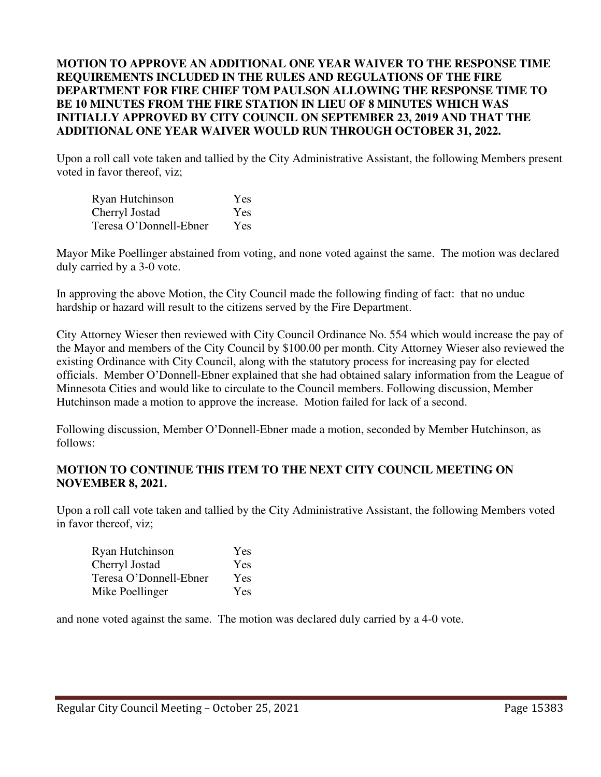#### **MOTION TO APPROVE AN ADDITIONAL ONE YEAR WAIVER TO THE RESPONSE TIME REQUIREMENTS INCLUDED IN THE RULES AND REGULATIONS OF THE FIRE DEPARTMENT FOR FIRE CHIEF TOM PAULSON ALLOWING THE RESPONSE TIME TO BE 10 MINUTES FROM THE FIRE STATION IN LIEU OF 8 MINUTES WHICH WAS INITIALLY APPROVED BY CITY COUNCIL ON SEPTEMBER 23, 2019 AND THAT THE ADDITIONAL ONE YEAR WAIVER WOULD RUN THROUGH OCTOBER 31, 2022.**

Upon a roll call vote taken and tallied by the City Administrative Assistant, the following Members present voted in favor thereof, viz;

| Ryan Hutchinson        | Yes        |
|------------------------|------------|
| Cherryl Jostad         | Yes        |
| Teresa O'Donnell-Ebner | <b>Yes</b> |

Mayor Mike Poellinger abstained from voting, and none voted against the same. The motion was declared duly carried by a 3-0 vote.

In approving the above Motion, the City Council made the following finding of fact: that no undue hardship or hazard will result to the citizens served by the Fire Department.

City Attorney Wieser then reviewed with City Council Ordinance No. 554 which would increase the pay of the Mayor and members of the City Council by \$100.00 per month. City Attorney Wieser also reviewed the existing Ordinance with City Council, along with the statutory process for increasing pay for elected officials. Member O'Donnell-Ebner explained that she had obtained salary information from the League of Minnesota Cities and would like to circulate to the Council members. Following discussion, Member Hutchinson made a motion to approve the increase. Motion failed for lack of a second.

Following discussion, Member O'Donnell-Ebner made a motion, seconded by Member Hutchinson, as follows:

### **MOTION TO CONTINUE THIS ITEM TO THE NEXT CITY COUNCIL MEETING ON NOVEMBER 8, 2021.**

Upon a roll call vote taken and tallied by the City Administrative Assistant, the following Members voted in favor thereof, viz;

| Ryan Hutchinson        | <b>Yes</b> |
|------------------------|------------|
| Cherryl Jostad         | Yes        |
| Teresa O'Donnell-Ebner | Yes        |
| Mike Poellinger        | Yes        |

and none voted against the same. The motion was declared duly carried by a 4-0 vote.